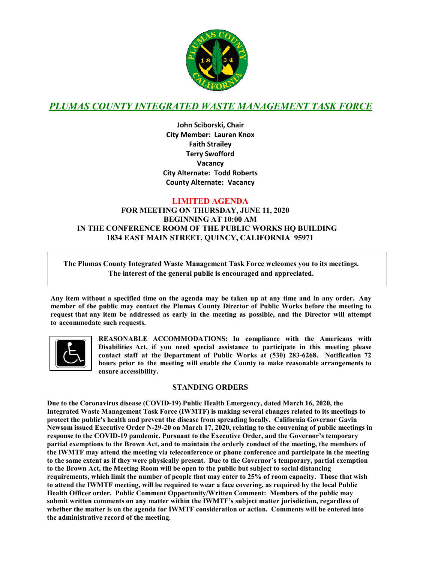

# *PLUMAS COUNTY INTEGRATED WASTE MANAGEMENT TASK FORCE*

**John Sciborski, Chair City Member: Lauren Knox Faith Strailey Terry Swofford Vacancy City Alternate: Todd Roberts County Alternate: Vacancy**

#### **LIMITED AGENDA**

#### **FOR MEETING ON THURSDAY, JUNE 11, 2020 BEGINNING AT 10:00 AM** IN THE CONFERENCE ROOM OF THE PUBLIC WORKS HO BUILDING **1834 EAST MAIN STREET, QUINCY, CALIFORNIA 95971**

**The Plumas County Integrated Waste Management Task Force welcomes you to its meetings. The interest of the general public is encouraged and appreciated.**

**Any item without a specified time on the agenda may be taken up at any time and in any order. Any member of the public may contact the Plumas County Director of Public Works before the meeting to request that any item be addressed as early in the meeting as possible, and the Director will attempt to accommodate such requests.**



**REASONABLE ACCOMMODATIONS: In compliance with the Americans with Disabilities Act, if you need special assistance to participate in this meeting please contact staff at the Department of Public Works at (530) 283-6268. Notification 72 hours prior to the meeting will enable the County to make reasonable arrangements to ensure accessibility.**

#### **STANDING ORDERS**

**Due to the Coronavirus disease (COVID-19) Public Health Emergency, dated March 16, 2020, the Integrated Waste Management Task Force (IWMTF) is making several changes related to its meetings to protect the public's health and prevent the disease from spreading locally. California Governor Gavin Newsom issued Executive Order N-29-20 on March 17, 2020, relating to the convening of public meetings in response to the COVID-19 pandemic. Pursuant to the Executive Order, and the Governor's temporary partial exemptions to the Brown Act, and to maintain the orderly conduct of the meeting, the members of the IWMTF may attend the meeting via teleconference or phone conference and participate in the meeting to the same extent as if they were physically present. Due to the Governor's temporary, partial exemption to the Brown Act, the Meeting Room will be open to the public but subject to social distancing requirements, which limit the number of people that may enter to 25% of room capacity. Those that wish to attend the IWMTF meeting, will be required to wear a face covering, as required by the local Public Health Officer order. Public Comment Opportunity/Written Comment: Members of the public may submit written comments on any matter within the IWMTF's subject matter jurisdiction, regardless of whether the matter is on the agenda for IWMTF consideration or action. Comments will be entered into the administrative record of the meeting.**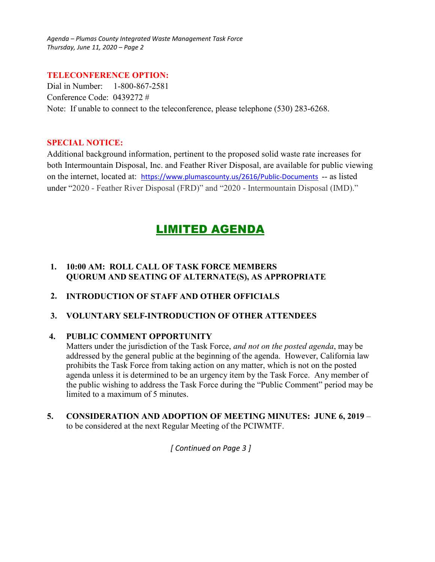*Agenda – Plumas County Integrated Waste Management Task Force Thursday, June 11, 2020 – Page 2* 

#### **TELECONFERENCE OPTION:**

Dial in Number: 1-800-867-2581 Conference Code: 0439272 # Note: If unable to connect to the teleconference, please telephone (530) 283-6268.

#### **SPECIAL NOTICE:**

Additional background information, pertinent to the proposed solid waste rate increases for both Intermountain Disposal, Inc. and Feather River Disposal, are available for public viewing on the internet, located at: https://www.plumascounty.us/2616/Public-Documents -- as listed under "2020 - Feather River Disposal (FRD)" and "2020 - Intermountain Disposal (IMD)."

# LIMITED AGENDA

## **1. 10:00 AM: ROLL CALL OF TASK FORCE MEMBERS QUORUM AND SEATING OF ALTERNATE(S), AS APPROPRIATE**

- **2. INTRODUCTION OF STAFF AND OTHER OFFICIALS**
- **3. VOLUNTARY SELF-INTRODUCTION OF OTHER ATTENDEES**

## **4. PUBLIC COMMENT OPPORTUNITY**

Matters under the jurisdiction of the Task Force, *and not on the posted agenda*, may be addressed by the general public at the beginning of the agenda. However, California law prohibits the Task Force from taking action on any matter, which is not on the posted agenda unless it is determined to be an urgency item by the Task Force. Any member of the public wishing to address the Task Force during the "Public Comment" period may be limited to a maximum of 5 minutes.

**5. CONSIDERATION AND ADOPTION OF MEETING MINUTES: JUNE 6, 2019** – to be considered at the next Regular Meeting of the PCIWMTF.

*[ Continued on Page 3 ]*